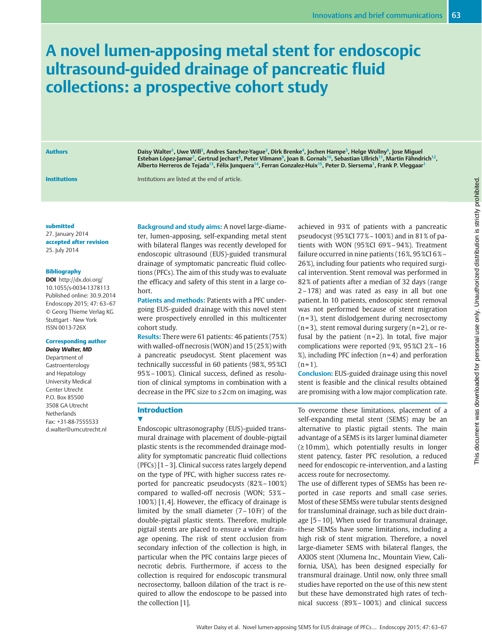# A novel lumen-apposing metal stent for endoscopic ultrasound-guided drainage of pancreatic fluid collections: a prospective cohort study

Authors **Daisy Walter<sup>1</sup>, Uwe Will<sup>2</sup>, Andres Sanchez-Yague<sup>3</sup>, Dirk Brenke<sup>4</sup>, Jochen Hampe<sup>5</sup>, Helge Wollny<sup>6</sup>, Jose Miguel** Esteban López-Jamar<sup>7</sup>, Gertrud Jechart<sup>8</sup>, Peter Vilmann<sup>9</sup>, Joan B. Gornals<sup>10</sup>, Sebastian Ullrich<sup>11</sup>, Martin Fähndrich<sup>12</sup>, Alberto Herreros de Tejada<sup>13</sup>, Félix Junquera<sup>14</sup>, Ferran Gonzalez-Huix<sup>15</sup>, Peter D. Siersema<sup>1</sup>, Frank P. Vleggaar<sup>1</sup>

**Institutions** Institutions are listed at the end of article.

#### submitted

27. January 2014 accepted after revision 25. July 2014

#### Bibliography

DOI http://dx.doi.org/ 10.1055/s-0034-1378113 Published online: 30.9.2014 Endoscopy 2015; 47: 63–67 © Georg Thieme Verlag KG Stuttgart · New York ISSN 0013-726X

### Corresponding author

Daisy Walter, MD Department of Gastroenterology and Hepatology University Medical Center Utrecht P.O. Box 85500 3508 GA Utrecht **Netherlands** Fax: +31-88-7555533 d.walter@umcutrecht.nl

Background and study aims: A novel large-diameter, lumen-apposing, self-expanding metal stent with bilateral flanges was recently developed for endoscopic ultrasound (EUS)-guided transmural drainage of symptomatic pancreatic fluid collections (PFCs). The aim of this study was to evaluate the efficacy and safety of this stent in a large cohort.

Patients and methods: Patients with a PFC undergoing EUS-guided drainage with this novel stent were prospectively enrolled in this multicenter cohort study.

Results: There were 61 patients: 46 patients (75 %) with walled-off necrosis (WON) and 15 (25 %) with a pancreatic pseudocyst. Stent placement was technically successful in 60 patients (98 %, 95 %CI 95 %–100 %). Clinical success, defined as resolution of clinical symptoms in combination with a decrease in the PFC size to ≤2 cm on imaging, was

# Introduction

v,

Endoscopic ultrasonography (EUS)-guided transmural drainage with placement of double-pigtail plastic stents is the recommended drainage modality for symptomatic pancreatic fluid collections (PFCs) [1–3]. Clinical success rates largely depend on the type of PFC, with higher success rates reported for pancreatic pseudocysts (82 %–100 %) compared to walled-off necrosis (WON; 53 %–  $100\%$  [1,4]. However, the efficacy of drainage is limited by the small diameter  $(7-10 \text{ Fr})$  of the double-pigtail plastic stents. Therefore, multiple pigtail stents are placed to ensure a wider drainage opening. The risk of stent occlusion from secondary infection of the collection is high, in particular when the PFC contains large pieces of necrotic debris. Furthermore, if access to the collection is required for endoscopic transmural necrosectomy, balloon dilation of the tract is required to allow the endoscope to be passed into the collection [1].

achieved in 93% of patients with a pancreatic pseudocyst (95 %CI 77 %–100 %) and in 81 % of patients with WON (95%CI 69%-94%). Treatment failure occurred in nine patients (16%, 95 %CI 6% -26 %), including four patients who required surgical intervention. Stent removal was performed in 82 % of patients after a median of 32 days (range 2–178) and was rated as easy in all but one patient. In 10 patients, endoscopic stent removal was not performed because of stent migration (n = 3), stent dislodgement during necrosectomy  $(n=3)$ , stent removal during surgery  $(n=2)$ , or refusal by the patient  $(n=2)$ . In total, five major complications were reported (9%, 95%CI 2%-16 %), including PFC infection (n = 4) and perforation  $(n = 1)$ .

Conclusion: EUS-guided drainage using this novel stent is feasible and the clinical results obtained are promising with a low major complication rate.

To overcome these limitations, placement of a self-expanding metal stent (SEMS) may be an alternative to plastic pigtail stents. The main advantage of a SEMS is its larger luminal diameter  $(\geq 10 \,\mathrm{mm})$ , which potentially results in longer stent patency, faster PFC resolution, a reduced need for endoscopic re-intervention, and a lasting access route for necrosectomy.

The use of different types of SEMSs has been reported in case reports and small case series. Most of these SEMSs were tubular stents designed for transluminal drainage, such as bile duct drainage [5–10]. When used for transmural drainage, these SEMSs have some limitations, including a high risk of stent migration. Therefore, a novel large-diameter SEMS with bilateral flanges, the AXIOS stent (Xlumena Inc., Mountain View, California, USA), has been designed especially for transmural drainage. Until now, only three small studies have reported on the use of this new stent but these have demonstrated high rates of technical success (89%-100%) and clinical success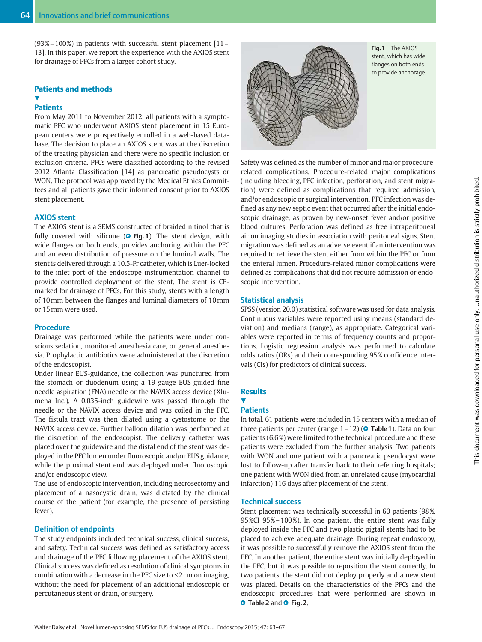$(93\% - 100\%)$  in patients with successful stent placement [11 – 13]. In this paper, we report the experience with the AXIOS stent for drainage of PFCs from a larger cohort study.

# Patients and methods

#### v,

# **Patients**

From May 2011 to November 2012, all patients with a symptomatic PFC who underwent AXIOS stent placement in 15 European centers were prospectively enrolled in a web-based database. The decision to place an AXIOS stent was at the discretion of the treating physician and there were no specific inclusion or exclusion criteria. PFCs were classified according to the revised 2012 Atlanta Classification [14] as pancreatic pseudocysts or WON. The protocol was approved by the Medical Ethics Committees and all patients gave their informed consent prior to AXIOS stent placement.

### AXIOS stent

The AXIOS stent is a SEMS constructed of braided nitinol that is fully covered with silicone ( $\bullet$  Fig. 1). The stent design, with wide flanges on both ends, provides anchoring within the PFC and an even distribution of pressure on the luminal walls. The stent is delivered through a 10.5-Fr catheter, which is Luer-locked to the inlet port of the endoscope instrumentation channel to provide controlled deployment of the stent. The stent is CEmarked for drainage of PFCs. For this study, stents with a length of 10mm between the flanges and luminal diameters of 10mm or 15mm were used.

#### Procedure

Drainage was performed while the patients were under conscious sedation, monitored anesthesia care, or general anesthesia. Prophylactic antibiotics were administered at the discretion of the endoscopist.

Under linear EUS-guidance, the collection was punctured from the stomach or duodenum using a 19-gauge EUS-guided fine needle aspiration (FNA) needle or the NAVIX access device (Xlumena Inc.). A 0.035-inch guidewire was passed through the needle or the NAVIX access device and was coiled in the PFC. The fistula tract was then dilated using a cystostome or the NAVIX access device. Further balloon dilation was performed at the discretion of the endoscopist. The delivery catheter was placed over the guidewire and the distal end of the stent was deployed in the PFC lumen under fluoroscopic and/or EUS guidance, while the proximal stent end was deployed under fluoroscopic and/or endoscopic view.

The use of endoscopic intervention, including necrosectomy and placement of a nasocystic drain, was dictated by the clinical course of the patient (for example, the presence of persisting fever).

# Definition of endpoints

The study endpoints included technical success, clinical success, and safety. Technical success was defined as satisfactory access and drainage of the PFC following placement of the AXIOS stent. Clinical success was defined as resolution of clinical symptoms in combination with a decrease in the PFC size to  $\leq$  2 cm on imaging, without the need for placement of an additional endoscopic or percutaneous stent or drain, or surgery.



Fig. 1 The AXIOS stent, which has wide flanges on both ends to provide anchorage.

Safety was defined as the number of minor and major procedurerelated complications. Procedure-related major complications (including bleeding, PFC infection, perforation, and stent migration) were defined as complications that required admission, and/or endoscopic or surgical intervention. PFC infection was defined as any new septic event that occurred after the initial endoscopic drainage, as proven by new-onset fever and/or positive blood cultures. Perforation was defined as free intraperitoneal air on imaging studies in association with peritoneal signs. Stent migration was defined as an adverse event if an intervention was required to retrieve the stent either from within the PFC or from the enteral lumen. Procedure-related minor complications were defined as complications that did not require admission or endoscopic intervention.

### Statistical analysis

SPSS (version 20.0) statistical software was used for data analysis. Continuous variables were reported using means (standard deviation) and medians (range), as appropriate. Categorical variables were reported in terms of frequency counts and proportions. Logistic regression analysis was performed to calculate odds ratios (ORs) and their corresponding 95 % confidence intervals (CIs) for predictors of clinical success.

# **Results**

**V** 

# **Patients**

In total, 61 patients were included in 15 centers with a median of three patients per center (range  $1-12$ ) ( $\bullet$  Table 1). Data on four patients (6.6 %) were limited to the technical procedure and these patients were excluded from the further analysis. Two patients with WON and one patient with a pancreatic pseudocyst were lost to follow-up after transfer back to their referring hospitals; one patient with WON died from an unrelated cause (myocardial infarction) 116 days after placement of the stent.

#### Technical success

Stent placement was technically successful in 60 patients (98 %, 95 %CI 95 % – 100 %). In one patient, the entire stent was fully deployed inside the PFC and two plastic pigtail stents had to be placed to achieve adequate drainage. During repeat endoscopy, it was possible to successfully remove the AXIOS stent from the PFC. In another patient, the entire stent was initially deployed in the PFC, but it was possible to reposition the stent correctly. In two patients, the stent did not deploy properly and a new stent was placed. Details on the characteristics of the PFCs and the endoscopic procedures that were performed are shown in **O** Table 2 and **O** Fig. 2.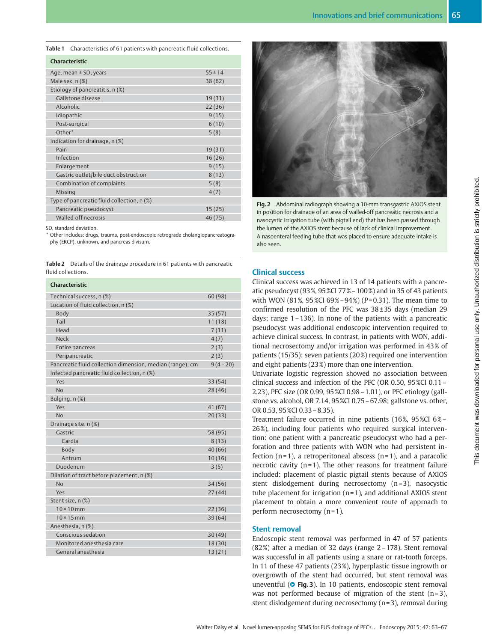|  | Table 1 Characteristics of 61 patients with pancreatic fluid collections. |  |  |  |
|--|---------------------------------------------------------------------------|--|--|--|
|--|---------------------------------------------------------------------------|--|--|--|

| <b>Characteristic</b>                      |             |  |  |  |
|--------------------------------------------|-------------|--|--|--|
| Age, mean $\pm$ SD, years                  | $55 \pm 14$ |  |  |  |
| Male sex, $n$ $(\%)$                       | 38(62)      |  |  |  |
| Etiology of pancreatitis, n (%)            |             |  |  |  |
| Gallstone disease                          | 19(31)      |  |  |  |
| Alcoholic                                  | 22(36)      |  |  |  |
| Idiopathic                                 | 9(15)       |  |  |  |
| Post-surgical                              | 6(10)       |  |  |  |
| Other*                                     | 5(8)        |  |  |  |
| Indication for drainage, n (%)             |             |  |  |  |
| Pain                                       | 19(31)      |  |  |  |
| Infection                                  | 16(26)      |  |  |  |
| Enlargement                                | 9(15)       |  |  |  |
| Gastric outlet/bile duct obstruction       | 8(13)       |  |  |  |
| Combination of complaints                  | 5(8)        |  |  |  |
| Missing                                    | 4(7)        |  |  |  |
| Type of pancreatic fluid collection, n (%) |             |  |  |  |
| Pancreatic pseudocyst                      | 15(25)      |  |  |  |
| Walled-off necrosis                        | 46 (75)     |  |  |  |
|                                            |             |  |  |  |

SD, standard deviation.

Other includes: drugs, trauma, post-endoscopic retrograde cholangiopancreatography (ERCP), unknown, and pancreas divisum.

Table 2 Details of the drainage procedure in 61 patients with pancreatic fluid collections.

| <b>Characteristic</b>                                     |           |  |  |  |
|-----------------------------------------------------------|-----------|--|--|--|
| Technical success, n (%)                                  | 60(98)    |  |  |  |
| Location of fluid collection, n (%)                       |           |  |  |  |
| Body                                                      | 35(57)    |  |  |  |
| Tail                                                      | 11(18)    |  |  |  |
| Head                                                      | 7(11)     |  |  |  |
| <b>Neck</b>                                               | 4(7)      |  |  |  |
| Entire pancreas                                           | 2(3)      |  |  |  |
| Peripancreatic                                            | 2(3)      |  |  |  |
| Pancreatic fluid collection dimension, median (range), cm | $9(4-20)$ |  |  |  |
| Infected pancreatic fluid collection, n (%)               |           |  |  |  |
| Yes                                                       | 33(54)    |  |  |  |
| N <sub>o</sub>                                            | 28(46)    |  |  |  |
| Bulging, n(%)                                             |           |  |  |  |
| Yes                                                       | 41(67)    |  |  |  |
| N <sub>o</sub>                                            | 20(33)    |  |  |  |
| Drainage site, n (%)                                      |           |  |  |  |
| Gastric                                                   | 58 (95)   |  |  |  |
| Cardia                                                    | 8(13)     |  |  |  |
| Body                                                      | 40(66)    |  |  |  |
| Antrum                                                    | 10(16)    |  |  |  |
| Duodenum                                                  | 3(5)      |  |  |  |
| Dilation of tract before placement, n (%)                 |           |  |  |  |
| No                                                        | 34(56)    |  |  |  |
| Yes                                                       | 27(44)    |  |  |  |
| Stent size, n (%)                                         |           |  |  |  |
| $10 \times 10$ mm                                         | 22(36)    |  |  |  |
| $10 \times 15$ mm                                         | 39(64)    |  |  |  |
| Anesthesia, n (%)                                         |           |  |  |  |
| Conscious sedation                                        | 30(49)    |  |  |  |
| Monitored anesthesia care                                 | 18(30)    |  |  |  |
| General anesthesia                                        | 13(21)    |  |  |  |
|                                                           |           |  |  |  |



Fig. 2 Abdominal radiograph showing a 10-mm transgastric AXIOS stent in position for drainage of an area of walled-off pancreatic necrosis and a nasocystic irrigation tube (with pigtail end) that has been passed through the lumen of the AXIOS stent because of lack of clinical improvement. A nasoenteral feeding tube that was placed to ensure adequate intake is also seen.

# Clinical success

Clinical success was achieved in 13 of 14 patients with a pancreatic pseudocyst (93 %, 95 %CI 77 %–100 %) and in 35 of 43 patients with WON (81%, 95%CI 69% – 94%) ( $P = 0.31$ ). The mean time to confirmed resolution of the PFC was  $38 \pm 35$  days (median 29 days; range 1–136). In none of the patients with a pancreatic pseudocyst was additional endoscopic intervention required to achieve clinical success. In contrast, in patients with WON, additional necrosectomy and/or irrigation was performed in 43 % of patients (15/35): seven patients (20%) required one intervention and eight patients (23 %) more than one intervention.

Univariate logistic regression showed no association between clinical success and infection of the PFC (OR 0.50, 95 %CI 0.11– 2.23), PFC size (OR 0.99, 95 %CI 0.98–1.01), or PFC etiology (gallstone vs. alcohol, OR 7.14, 95 %CI 0.75–67.98; gallstone vs. other, OR 0.53, 95 %CI 0.33–8.35).

Treatment failure occurred in nine patients (16%, 95%CI 6%-26%), including four patients who required surgical intervention: one patient with a pancreatic pseudocyst who had a perforation and three patients with WON who had persistent infection  $(n=1)$ , a retroperitoneal abscess  $(n=1)$ , and a paracolic necrotic cavity  $(n=1)$ . The other reasons for treatment failure included: placement of plastic pigtail stents because of AXIOS stent dislodgement during necrosectomy  $(n=3)$ , nasocystic tube placement for irrigation  $(n=1)$ , and additional AXIOS stent placement to obtain a more convenient route of approach to perform necrosectomy  $(n=1)$ .

# Stent removal

Endoscopic stent removal was performed in 47 of 57 patients  $(82%)$  after a median of 32 days (range 2 – 178). Stent removal was successful in all patients using a snare or rat-tooth forceps. In 11 of these 47 patients (23 %), hyperplastic tissue ingrowth or overgrowth of the stent had occurred, but stent removal was uneventful ( $\circ$  Fig. 3). In 10 patients, endoscopic stent removal was not performed because of migration of the stent  $(n=3)$ , stent dislodgement during necrosectomy  $(n=3)$ , removal during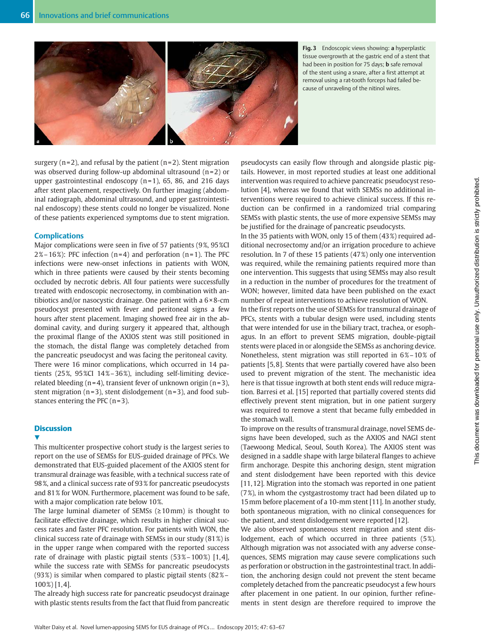

Fig. 3 Endoscopic views showing: a hyperplastic tissue overgrowth at the gastric end of a stent that had been in position for 75 days; **b** safe removal of the stent using a snare, after a first attempt at removal using a rat-tooth forceps had failed because of unraveling of the nitinol wires.

surgery  $(n=2)$ , and refusal by the patient  $(n=2)$ . Stent migration was observed during follow-up abdominal ultrasound  $(n=2)$  or upper gastrointestinal endoscopy  $(n=1)$ , 65, 86, and 216 days after stent placement, respectively. On further imaging (abdominal radiograph, abdominal ultrasound, and upper gastrointestinal endoscopy) these stents could no longer be visualized. None of these patients experienced symptoms due to stent migration.

# **Complications**

Major complications were seen in five of 57 patients (9%, 95%CI 2%–16%): PFC infection  $(n=4)$  and perforation  $(n=1)$ . The PFC infections were new-onset infections in patients with WON, which in three patients were caused by their stents becoming occluded by necrotic debris. All four patients were successfully treated with endoscopic necrosectomy, in combination with antibiotics and/or nasocystic drainage. One patient with a 6 × 8-cm pseudocyst presented with fever and peritoneal signs a few hours after stent placement. Imaging showed free air in the abdominal cavity, and during surgery it appeared that, although the proximal flange of the AXIOS stent was still positioned in the stomach, the distal flange was completely detached from the pancreatic pseudocyst and was facing the peritoneal cavity. There were 16 minor complications, which occurred in 14 patients (25%, 95%CI 14%-36%), including self-limiting devicerelated bleeding ( $n = 4$ ), transient fever of unknown origin ( $n = 3$ ), stent migration ( $n=3$ ), stent dislodgement ( $n=3$ ), and food substances entering the PFC  $(n=3)$ .

# **Discussion**

#### v,

This multicenter prospective cohort study is the largest series to report on the use of SEMSs for EUS-guided drainage of PFCs. We demonstrated that EUS-guided placement of the AXIOS stent for transmural drainage was feasible, with a technical success rate of 98 %, and a clinical success rate of 93 % for pancreatic pseudocysts and 81 % for WON. Furthermore, placement was found to be safe, with a major complication rate below 10%.

The large luminal diameter of SEMSs  $(≥10mm)$  is thought to facilitate effective drainage, which results in higher clinical success rates and faster PFC resolution. For patients with WON, the clinical success rate of drainage with SEMSs in our study (81 %) is in the upper range when compared with the reported success rate of drainage with plastic pigtail stents  $(53\% - 100\%)$  [1,4], while the success rate with SEMSs for pancreatic pseudocysts  $(93%)$  is similar when compared to plastic pigtail stents  $(82% -$ 100 %) [1, 4].

The already high success rate for pancreatic pseudocyst drainage with plastic stents results from the fact that fluid from pancreatic pseudocysts can easily flow through and alongside plastic pigtails. However, in most reported studies at least one additional intervention was required to achieve pancreatic pseudocyst resolution [4], whereas we found that with SEMSs no additional interventions were required to achieve clinical success. If this reduction can be confirmed in a randomized trial comparing SEMSs with plastic stents, the use of more expensive SEMSs may be justified for the drainage of pancreatic pseudocysts.

In the 35 patients with WON, only 15 of them (43 %) required additional necrosectomy and/or an irrigation procedure to achieve resolution. In 7 of these 15 patients (47 %) only one intervention was required, while the remaining patients required more than one intervention. This suggests that using SEMSs may also result in a reduction in the number of procedures for the treatment of WON; however, limited data have been published on the exact number of repeat interventions to achieve resolution of WON.

In the first reports on the use of SEMSs for transmural drainage of PFCs, stents with a tubular design were used, including stents that were intended for use in the biliary tract, trachea, or esophagus. In an effort to prevent SEMS migration, double-pigtail stents were placed in or alongside the SEMSs as anchoring device. Nonetheless, stent migration was still reported in 6%-10% of patients [5, 8]. Stents that were partially covered have also been used to prevent migration of the stent. The mechanistic idea here is that tissue ingrowth at both stent ends will reduce migration. Barresi et al. [15] reported that partially covered stents did effectively prevent stent migration, but in one patient surgery was required to remove a stent that became fully embedded in the stomach wall.

To improve on the results of transmural drainage, novel SEMS designs have been developed, such as the AXIOS and NAGI stent (Taewoong Medical, Seoul, South Korea). The AXIOS stent was designed in a saddle shape with large bilateral flanges to achieve firm anchorage. Despite this anchoring design, stent migration and stent dislodgement have been reported with this device [11, 12]. Migration into the stomach was reported in one patient (7 %), in whom the cystgastrostomy tract had been dilated up to 15mm before placement of a 10-mm stent [11]. In another study, both spontaneous migration, with no clinical consequences for the patient, and stent dislodgement were reported [12].

We also observed spontaneous stent migration and stent dislodgement, each of which occurred in three patients (5%). Although migration was not associated with any adverse consequences, SEMS migration may cause severe complications such as perforation or obstruction in the gastrointestinal tract. In addition, the anchoring design could not prevent the stent became completely detached from the pancreatic pseudocyst a few hours after placement in one patient. In our opinion, further refinements in stent design are therefore required to improve the